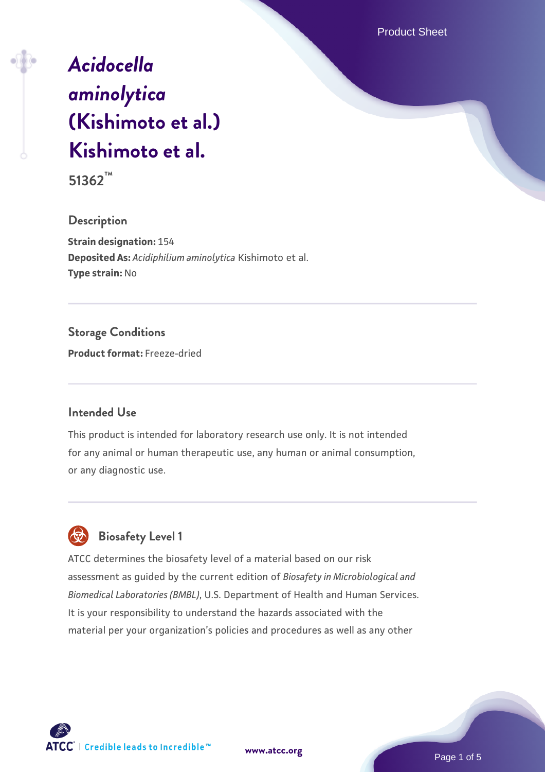Product Sheet

# *[Acidocella](https://www.atcc.org/products/51362) [aminolytica](https://www.atcc.org/products/51362)* **[\(Kishimoto et al.\)](https://www.atcc.org/products/51362) [Kishimoto et al.](https://www.atcc.org/products/51362)**

**51362™**

**Description**

**Strain designation:** 154 **Deposited As:** *Acidiphilium aminolytica* Kishimoto et al. **Type strain:** No

**Storage Conditions Product format:** Freeze-dried

# **Intended Use**

This product is intended for laboratory research use only. It is not intended for any animal or human therapeutic use, any human or animal consumption, or any diagnostic use.



 **Biosafety Level 1**

ATCC determines the biosafety level of a material based on our risk assessment as guided by the current edition of *Biosafety in Microbiological and Biomedical Laboratories (BMBL)*, U.S. Department of Health and Human Services. It is your responsibility to understand the hazards associated with the material per your organization's policies and procedures as well as any other

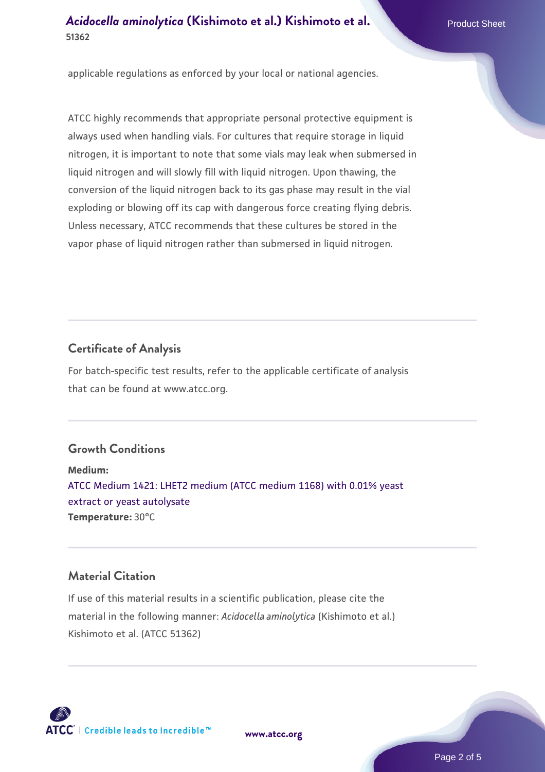# **[Acidocella aminolytica](https://www.atcc.org/products/51362)** [\(Kishimoto et al.\) Kishimoto et al.](https://www.atcc.org/products/51362) Product Sheet **51362**

applicable regulations as enforced by your local or national agencies.

ATCC highly recommends that appropriate personal protective equipment is always used when handling vials. For cultures that require storage in liquid nitrogen, it is important to note that some vials may leak when submersed in liquid nitrogen and will slowly fill with liquid nitrogen. Upon thawing, the conversion of the liquid nitrogen back to its gas phase may result in the vial exploding or blowing off its cap with dangerous force creating flying debris. Unless necessary, ATCC recommends that these cultures be stored in the vapor phase of liquid nitrogen rather than submersed in liquid nitrogen.

#### **Certificate of Analysis**

For batch-specific test results, refer to the applicable certificate of analysis that can be found at www.atcc.org.

# **Growth Conditions**

**Medium:**  [ATCC Medium 1421: LHET2 medium \(ATCC medium 1168\) with 0.01% yeast](https://www.atcc.org/-/media/product-assets/documents/microbial-media-formulations/atcc-medium-1421.pdf?rev=9e15a8f38ab94b24a33bbe104456f2c8) [extract or yeast autolysate](https://www.atcc.org/-/media/product-assets/documents/microbial-media-formulations/atcc-medium-1421.pdf?rev=9e15a8f38ab94b24a33bbe104456f2c8) **Temperature:** 30°C

#### **Material Citation**

If use of this material results in a scientific publication, please cite the material in the following manner: *Acidocella aminolytica* (Kishimoto et al.) Kishimoto et al. (ATCC 51362)



**[www.atcc.org](http://www.atcc.org)**

Page 2 of 5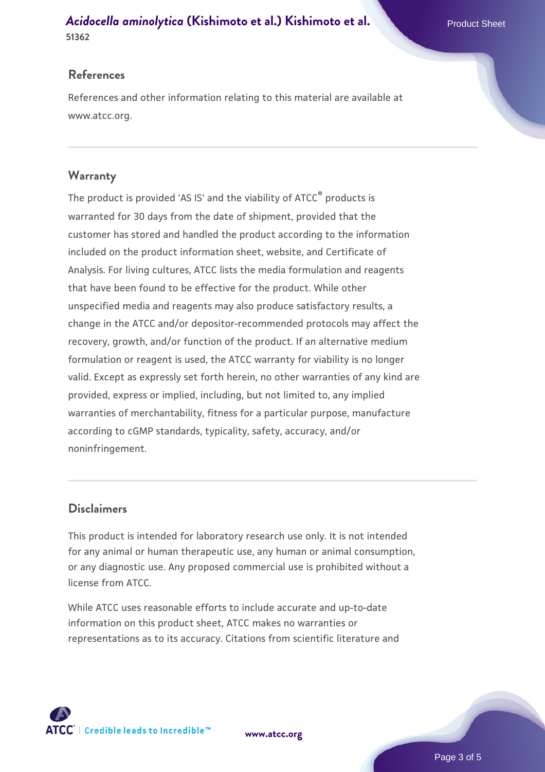# **[Acidocella aminolytica](https://www.atcc.org/products/51362)** [\(Kishimoto et al.\) Kishimoto et al.](https://www.atcc.org/products/51362) Product Sheet **51362**

#### **References**

References and other information relating to this material are available at www.atcc.org.

#### **Warranty**

The product is provided 'AS IS' and the viability of ATCC® products is warranted for 30 days from the date of shipment, provided that the customer has stored and handled the product according to the information included on the product information sheet, website, and Certificate of Analysis. For living cultures, ATCC lists the media formulation and reagents that have been found to be effective for the product. While other unspecified media and reagents may also produce satisfactory results, a change in the ATCC and/or depositor-recommended protocols may affect the recovery, growth, and/or function of the product. If an alternative medium formulation or reagent is used, the ATCC warranty for viability is no longer valid. Except as expressly set forth herein, no other warranties of any kind are provided, express or implied, including, but not limited to, any implied warranties of merchantability, fitness for a particular purpose, manufacture according to cGMP standards, typicality, safety, accuracy, and/or noninfringement.

# **Disclaimers**

This product is intended for laboratory research use only. It is not intended for any animal or human therapeutic use, any human or animal consumption, or any diagnostic use. Any proposed commercial use is prohibited without a license from ATCC.

While ATCC uses reasonable efforts to include accurate and up-to-date information on this product sheet, ATCC makes no warranties or representations as to its accuracy. Citations from scientific literature and



**[www.atcc.org](http://www.atcc.org)**

Page 3 of 5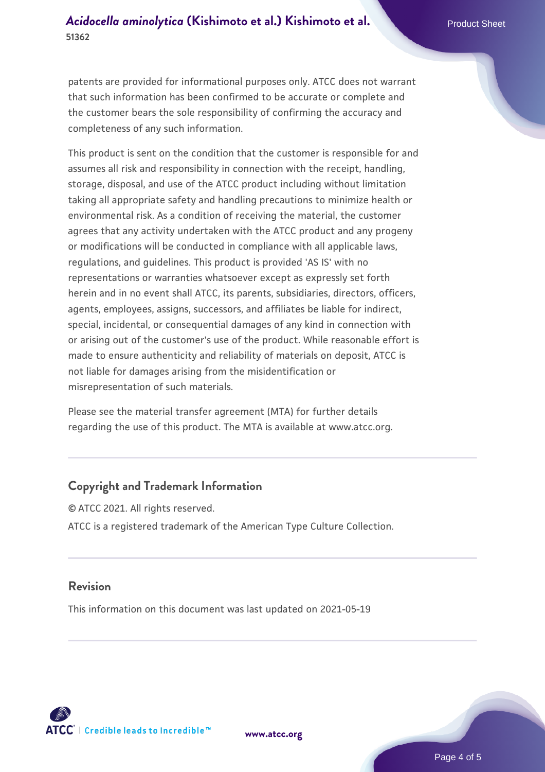patents are provided for informational purposes only. ATCC does not warrant that such information has been confirmed to be accurate or complete and the customer bears the sole responsibility of confirming the accuracy and completeness of any such information.

This product is sent on the condition that the customer is responsible for and assumes all risk and responsibility in connection with the receipt, handling, storage, disposal, and use of the ATCC product including without limitation taking all appropriate safety and handling precautions to minimize health or environmental risk. As a condition of receiving the material, the customer agrees that any activity undertaken with the ATCC product and any progeny or modifications will be conducted in compliance with all applicable laws, regulations, and guidelines. This product is provided 'AS IS' with no representations or warranties whatsoever except as expressly set forth herein and in no event shall ATCC, its parents, subsidiaries, directors, officers, agents, employees, assigns, successors, and affiliates be liable for indirect, special, incidental, or consequential damages of any kind in connection with or arising out of the customer's use of the product. While reasonable effort is made to ensure authenticity and reliability of materials on deposit, ATCC is not liable for damages arising from the misidentification or misrepresentation of such materials.

Please see the material transfer agreement (MTA) for further details regarding the use of this product. The MTA is available at www.atcc.org.

# **Copyright and Trademark Information**

© ATCC 2021. All rights reserved. ATCC is a registered trademark of the American Type Culture Collection.

# **Revision**

This information on this document was last updated on 2021-05-19



**[www.atcc.org](http://www.atcc.org)**